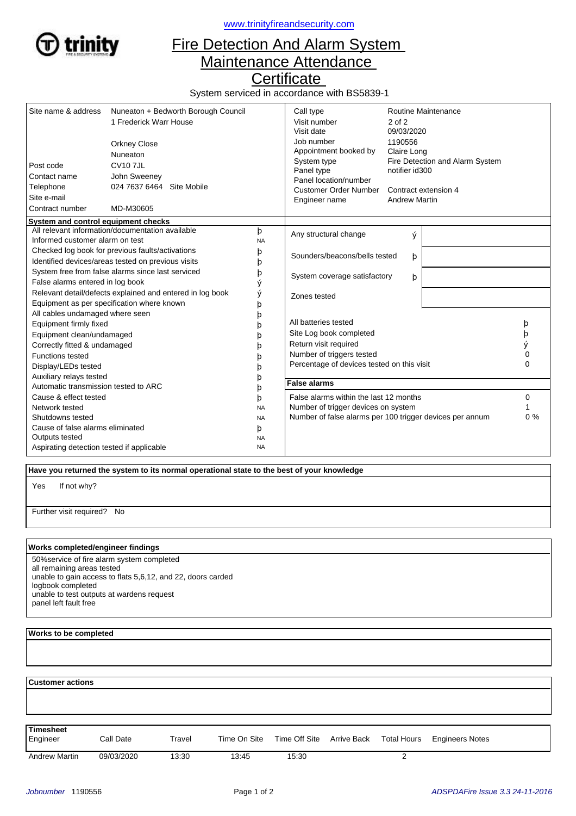

<www.trinityfireandsecurity.com>

## Fire Detection And Alarm System Maintenance Attendance

**Certificate** 

System serviced in accordance with BS5839-1

| Site name & address<br>Post code                                                                                                                                         | Nuneaton + Bedworth Borough Council<br>1 Frederick Warr House<br><b>Orkney Close</b><br>Nuneaton<br><b>CV107JL</b><br>John Sweeney<br>024 7637 6464 Site Mobile<br>MD-M30605 |                                          | Call type<br>Visit number<br>Visit date<br>Job number<br>Appointment booked by<br>System type<br>Panel type                                                         | Routine Maintenance<br>$2$ of $2$<br>09/03/2020<br>1190556<br>Claire Long<br>Fire Detection and Alarm System<br>notifier id300<br>Contract extension 4<br><b>Andrew Martin</b> |  |                       |
|--------------------------------------------------------------------------------------------------------------------------------------------------------------------------|------------------------------------------------------------------------------------------------------------------------------------------------------------------------------|------------------------------------------|---------------------------------------------------------------------------------------------------------------------------------------------------------------------|--------------------------------------------------------------------------------------------------------------------------------------------------------------------------------|--|-----------------------|
| Contact name<br>Telephone<br>Site e-mail<br>Contract number                                                                                                              |                                                                                                                                                                              |                                          | Panel location/number<br><b>Customer Order Number</b><br>Engineer name                                                                                              |                                                                                                                                                                                |  |                       |
| System and control equipment checks                                                                                                                                      |                                                                                                                                                                              |                                          |                                                                                                                                                                     |                                                                                                                                                                                |  |                       |
| All relevant information/documentation available<br>Informed customer alarm on test                                                                                      |                                                                                                                                                                              | þ<br><b>NA</b>                           | Any structural change<br>ý                                                                                                                                          |                                                                                                                                                                                |  |                       |
| Checked log book for previous faults/activations<br>Identified devices/areas tested on previous visits                                                                   |                                                                                                                                                                              | þ<br>þ                                   | Sounders/beacons/bells tested<br>þ                                                                                                                                  |                                                                                                                                                                                |  |                       |
| System free from false alarms since last serviced<br>False alarms entered in log book                                                                                    |                                                                                                                                                                              | þ<br>ý                                   | System coverage satisfactory<br>þ                                                                                                                                   |                                                                                                                                                                                |  |                       |
| Relevant detail/defects explained and entered in log book<br>Equipment as per specification where known                                                                  |                                                                                                                                                                              | ý<br>þ                                   | Zones tested<br>All batteries tested<br>Site Log book completed<br>Return visit required<br>Number of triggers tested<br>Percentage of devices tested on this visit |                                                                                                                                                                                |  |                       |
| All cables undamaged where seen<br>Equipment firmly fixed<br>Equipment clean/undamaged<br>Correctly fitted & undamaged<br><b>Functions tested</b><br>Display/LEDs tested |                                                                                                                                                                              | b                                        |                                                                                                                                                                     |                                                                                                                                                                                |  | þ<br>þ<br>ý<br>0<br>0 |
| Auxiliary relays tested<br>Automatic transmission tested to ARC                                                                                                          |                                                                                                                                                                              |                                          | <b>False alarms</b>                                                                                                                                                 |                                                                                                                                                                                |  |                       |
| Cause & effect tested<br>Network tested                                                                                                                                  |                                                                                                                                                                              | b<br>þ<br><b>NA</b>                      | False alarms within the last 12 months<br>Number of trigger devices on system                                                                                       |                                                                                                                                                                                |  | 0                     |
| Shutdowns tested<br>Cause of false alarms eliminated<br>Outputs tested<br>Aspirating detection tested if applicable                                                      |                                                                                                                                                                              | <b>NA</b><br>þ<br><b>NA</b><br><b>NA</b> | Number of false alarms per 100 trigger devices per annum                                                                                                            |                                                                                                                                                                                |  | $0\%$                 |

 **Have you returned the system to its normal operational state to the best of your knowledge**

If not why? Yes

Further visit required? No

## **Works completed/engineer findings**

50%service of fire alarm system completed all remaining areas tested unable to gain access to flats 5,6,12, and 22, doors carded logbook completed unable to test outputs at wardens request panel left fault free

## **Works to be completed**

  **Customer actions** Engineer Call Date Travel Time On Site Time Off Site Arrive Back Total Hours Engineers Notes **Timesheet** Arrive Back Andrew Martin 09/03/2020 13:30 13:45 15:30 2